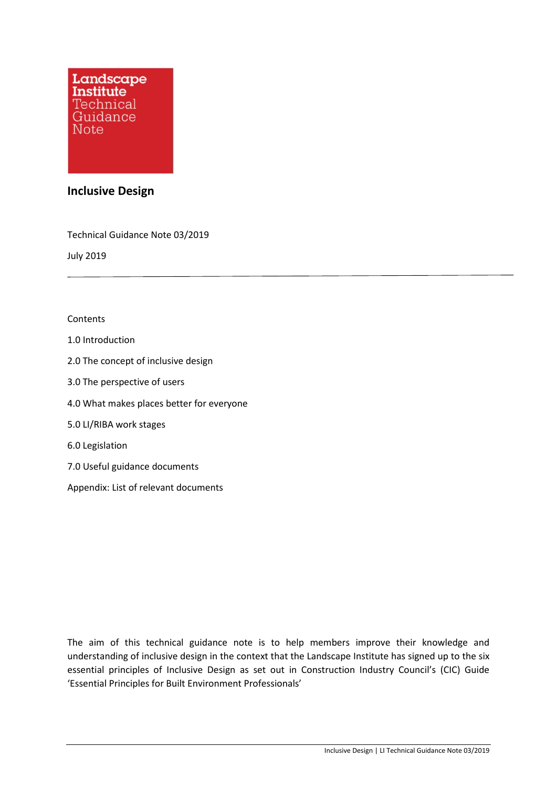

# **Inclusive Design**

Technical Guidance Note 03/2019

July 2019

#### **Contents**

- 1.0 Introduction
- 2.0 The concept of inclusive design
- 3.0 The perspective of users
- 4.0 What makes places better for everyone
- 5.0 LI/RIBA work stages
- 6.0 Legislation
- 7.0 Useful guidance documents
- Appendix: List of relevant documents

The aim of this technical guidance note is to help members improve their knowledge and understanding of inclusive design in the context that the Landscape Institute has signed up to the six essential principles of Inclusive Design as set out in Construction Industry Council's (CIC) Guide 'Essential Principles for Built Environment Professionals'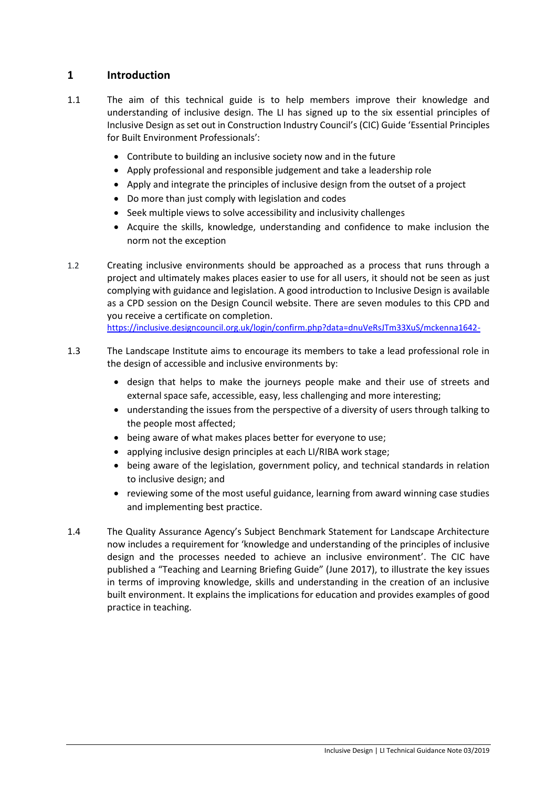# **1 Introduction**

- 1.1 The aim of this technical guide is to help members improve their knowledge and understanding of inclusive design. The LI has signed up to the six essential principles of Inclusive Design as set out in Construction Industry Council's (CIC) Guide 'Essential Principles for Built Environment Professionals':
	- Contribute to building an inclusive society now and in the future
	- Apply professional and responsible judgement and take a leadership role
	- Apply and integrate the principles of inclusive design from the outset of a project
	- Do more than just comply with legislation and codes
	- Seek multiple views to solve accessibility and inclusivity challenges
	- Acquire the skills, knowledge, understanding and confidence to make inclusion the norm not the exception
- 1.2 Creating inclusive environments should be approached as a process that runs through a project and ultimately makes places easier to use for all users, it should not be seen as just complying with guidance and legislation. A good introduction to Inclusive Design is available as a CPD session on the Design Council website. There are seven modules to this CPD and you receive a certificate on completion.

<https://inclusive.designcouncil.org.uk/login/confirm.php?data=dnuVeRsJTm33XuS/mckenna1642->

- 1.3 The Landscape Institute aims to encourage its members to take a lead professional role in the design of accessible and inclusive environments by:
	- design that helps to make the journeys people make and their use of streets and external space safe, accessible, easy, less challenging and more interesting;
	- understanding the issues from the perspective of a diversity of users through talking to the people most affected;
	- being aware of what makes places better for everyone to use;
	- applying inclusive design principles at each LI/RIBA work stage;
	- being aware of the legislation, government policy, and technical standards in relation to inclusive design; and
	- reviewing some of the most useful guidance, learning from award winning case studies and implementing best practice.
- 1.4 The Quality Assurance Agency's Subject Benchmark Statement for Landscape Architecture now includes a requirement for 'knowledge and understanding of the principles of inclusive design and the processes needed to achieve an inclusive environment'. The CIC have published a "Teaching and Learning Briefing Guide" (June 2017), to illustrate the key issues in terms of improving knowledge, skills and understanding in the creation of an inclusive built environment. It explains the implications for education and provides examples of good practice in teaching.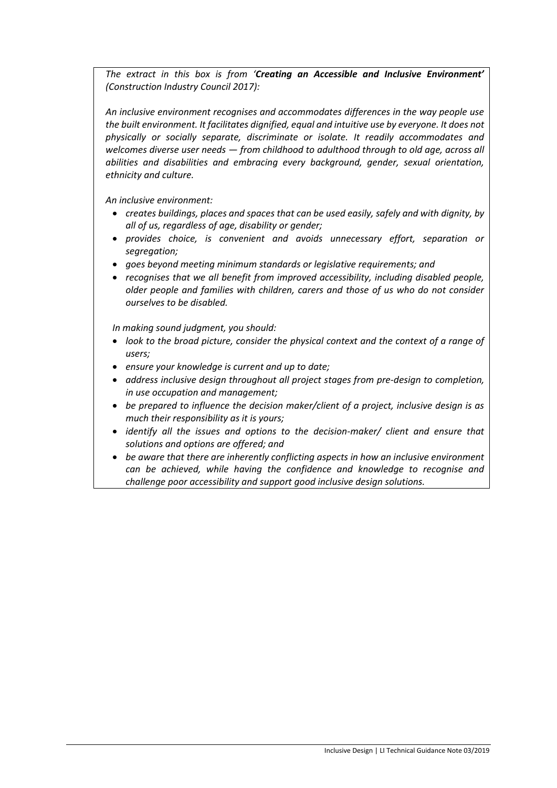*The extract in this box is from 'Creating an Accessible and Inclusive Environment' (Construction Industry Council 2017):*

*An inclusive environment recognises and accommodates differences in the way people use the built environment. It facilitates dignified, equal and intuitive use by everyone. It does not physically or socially separate, discriminate or isolate. It readily accommodates and welcomes diverse user needs — from childhood to adulthood through to old age, across all abilities and disabilities and embracing every background, gender, sexual orientation, ethnicity and culture.*

*An inclusive environment:*

- *creates buildings, places and spaces that can be used easily, safely and with dignity, by all of us, regardless of age, disability or gender;*
- *provides choice, is convenient and avoids unnecessary effort, separation or segregation;*
- *goes beyond meeting minimum standards or legislative requirements; and*
- *recognises that we all benefit from improved accessibility, including disabled people, older people and families with children, carers and those of us who do not consider ourselves to be disabled.*

*In making sound judgment, you should:*

- *look to the broad picture, consider the physical context and the context of a range of users;*
- *ensure your knowledge is current and up to date;*
- *address inclusive design throughout all project stages from pre-design to completion, in use occupation and management;*
- *be prepared to influence the decision maker/client of a project, inclusive design is as much their responsibility as it is yours;*
- *identify all the issues and options to the decision-maker/ client and ensure that solutions and options are offered; and*
- *be aware that there are inherently conflicting aspects in how an inclusive environment can be achieved, while having the confidence and knowledge to recognise and challenge poor accessibility and support good inclusive design solutions.*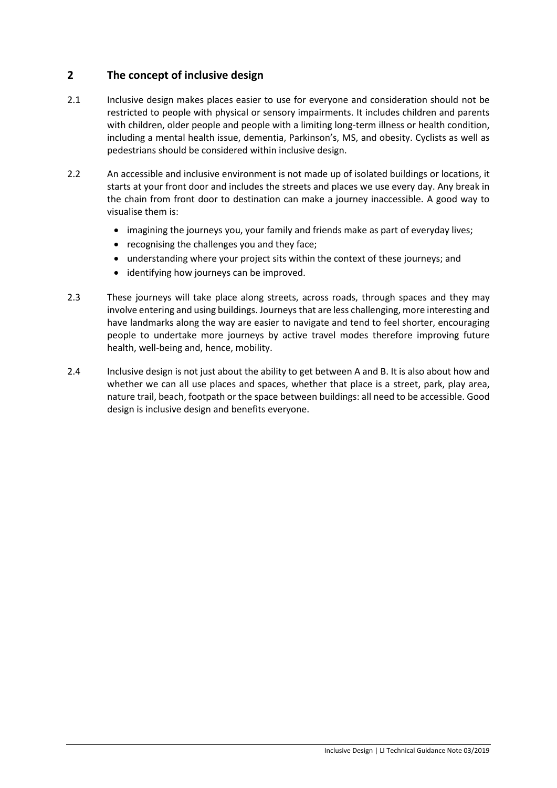# **2 The concept of inclusive design**

- 2.1 Inclusive design makes places easier to use for everyone and consideration should not be restricted to people with physical or sensory impairments. It includes children and parents with children, older people and people with a limiting long-term illness or health condition, including a mental health issue, dementia, Parkinson's, MS, and obesity. Cyclists as well as pedestrians should be considered within inclusive design.
- 2.2 An accessible and inclusive environment is not made up of isolated buildings or locations, it starts at your front door and includes the streets and places we use every day. Any break in the chain from front door to destination can make a journey inaccessible. A good way to visualise them is:
	- imagining the journeys you, your family and friends make as part of everyday lives;
	- recognising the challenges you and they face;
	- understanding where your project sits within the context of these journeys; and
	- identifying how journeys can be improved.
- 2.3 These journeys will take place along streets, across roads, through spaces and they may involve entering and using buildings. Journeys that are less challenging, more interesting and have landmarks along the way are easier to navigate and tend to feel shorter, encouraging people to undertake more journeys by active travel modes therefore improving future health, well-being and, hence, mobility.
- 2.4 Inclusive design is not just about the ability to get between A and B. It is also about how and whether we can all use places and spaces, whether that place is a street, park, play area, nature trail, beach, footpath or the space between buildings: all need to be accessible. Good design is inclusive design and benefits everyone.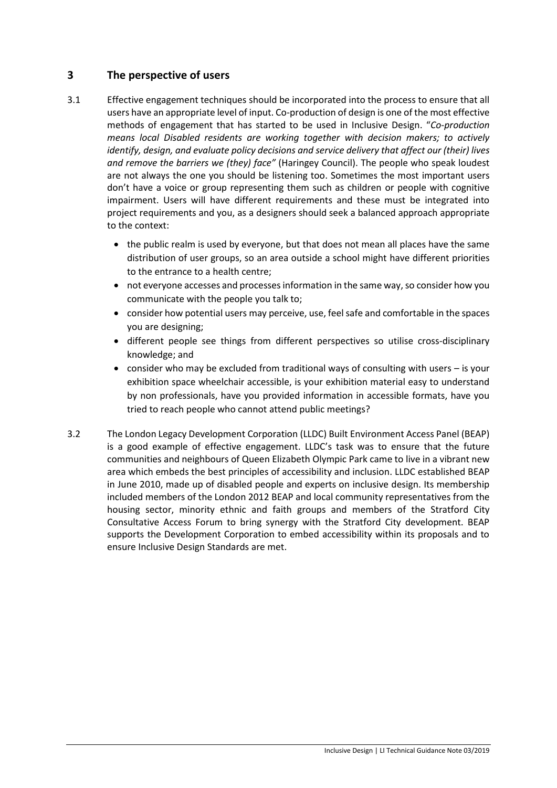# **3 The perspective of users**

- 3.1 Effective engagement techniques should be incorporated into the process to ensure that all users have an appropriate level of input. Co-production of design is one of the most effective methods of engagement that has started to be used in Inclusive Design. "*Co-production means local Disabled residents are working together with decision makers; to actively identify, design, and evaluate policy decisions and service delivery that affect our (their) lives and remove the barriers we (they) face"* (Haringey Council). The people who speak loudest are not always the one you should be listening too. Sometimes the most important users don't have a voice or group representing them such as children or people with cognitive impairment. Users will have different requirements and these must be integrated into project requirements and you, as a designers should seek a balanced approach appropriate to the context:
	- the public realm is used by everyone, but that does not mean all places have the same distribution of user groups, so an area outside a school might have different priorities to the entrance to a health centre;
	- not everyone accesses and processes information in the same way, so consider how you communicate with the people you talk to;
	- consider how potential users may perceive, use, feel safe and comfortable in the spaces you are designing;
	- different people see things from different perspectives so utilise cross-disciplinary knowledge; and
	- consider who may be excluded from traditional ways of consulting with users is your exhibition space wheelchair accessible, is your exhibition material easy to understand by non professionals, have you provided information in accessible formats, have you tried to reach people who cannot attend public meetings?
- 3.2 The London Legacy Development Corporation (LLDC) Built Environment Access Panel (BEAP) is a good example of effective engagement. LLDC's task was to ensure that the future communities and neighbours of Queen Elizabeth Olympic Park came to live in a vibrant new area which embeds the best principles of accessibility and inclusion. LLDC established BEAP in June 2010, made up of disabled people and experts on inclusive design. Its membership included members of the London 2012 BEAP and local community representatives from the housing sector, minority ethnic and faith groups and members of the Stratford City Consultative Access Forum to bring synergy with the Stratford City development. BEAP supports the Development Corporation to embed accessibility within its proposals and to ensure Inclusive Design Standards are met.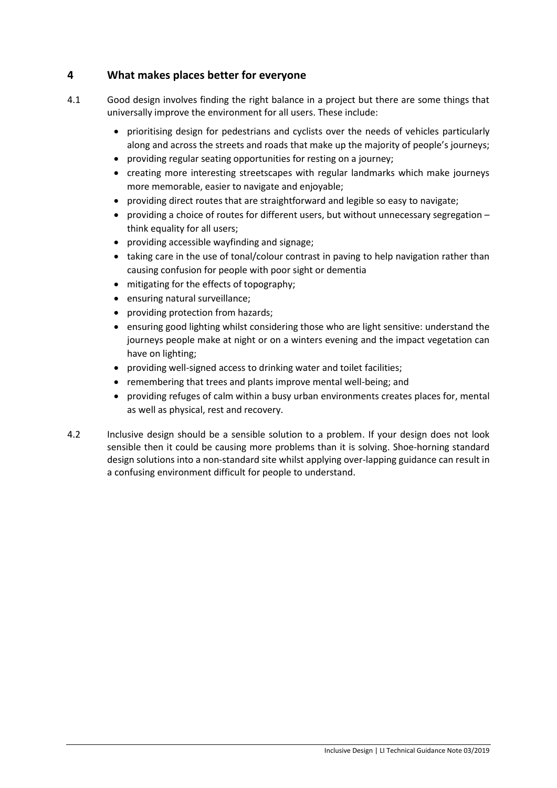# **4 What makes places better for everyone**

- 4.1 Good design involves finding the right balance in a project but there are some things that universally improve the environment for all users. These include:
	- prioritising design for pedestrians and cyclists over the needs of vehicles particularly along and across the streets and roads that make up the majority of people's journeys;
	- providing regular seating opportunities for resting on a journey;
	- creating more interesting streetscapes with regular landmarks which make journeys more memorable, easier to navigate and enjoyable;
	- providing direct routes that are straightforward and legible so easy to navigate;
	- providing a choice of routes for different users, but without unnecessary segregation think equality for all users;
	- providing accessible wayfinding and signage;
	- taking care in the use of tonal/colour contrast in paving to help navigation rather than causing confusion for people with poor sight or dementia
	- mitigating for the effects of topography;
	- ensuring natural surveillance;
	- providing protection from hazards;
	- ensuring good lighting whilst considering those who are light sensitive: understand the journeys people make at night or on a winters evening and the impact vegetation can have on lighting;
	- providing well-signed access to drinking water and toilet facilities;
	- remembering that trees and plants improve mental well-being; and
	- providing refuges of calm within a busy urban environments creates places for, mental as well as physical, rest and recovery.
- 4.2 Inclusive design should be a sensible solution to a problem. If your design does not look sensible then it could be causing more problems than it is solving. Shoe-horning standard design solutions into a non-standard site whilst applying over-lapping guidance can result in a confusing environment difficult for people to understand.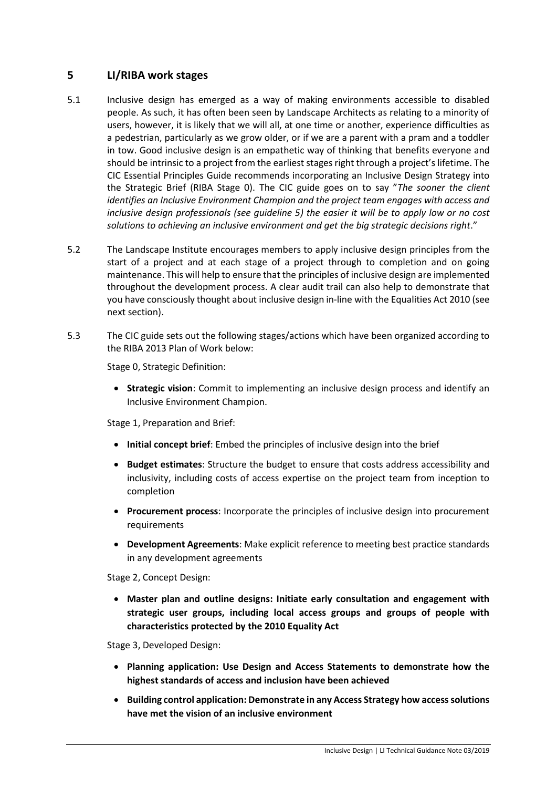# **5 LI/RIBA work stages**

- 5.1 Inclusive design has emerged as a way of making environments accessible to disabled people. As such, it has often been seen by Landscape Architects as relating to a minority of users, however, it is likely that we will all, at one time or another, experience difficulties as a pedestrian, particularly as we grow older, or if we are a parent with a pram and a toddler in tow. Good inclusive design is an empathetic way of thinking that benefits everyone and should be intrinsic to a project from the earliest stages right through a project's lifetime. The CIC Essential Principles Guide recommends incorporating an Inclusive Design Strategy into the Strategic Brief (RIBA Stage 0). The CIC guide goes on to say "*The sooner the client identifies an Inclusive Environment Champion and the project team engages with access and inclusive design professionals (see guideline 5) the easier it will be to apply low or no cost solutions to achieving an inclusive environment and get the big strategic decisions right*."
- 5.2 The Landscape Institute encourages members to apply inclusive design principles from the start of a project and at each stage of a project through to completion and on going maintenance. This will help to ensure that the principles of inclusive design are implemented throughout the development process. A clear audit trail can also help to demonstrate that you have consciously thought about inclusive design in-line with the Equalities Act 2010 (see next section).
- 5.3 The CIC guide sets out the following stages/actions which have been organized according to the RIBA 2013 Plan of Work below:

Stage 0, Strategic Definition:

• **Strategic vision**: Commit to implementing an inclusive design process and identify an Inclusive Environment Champion.

Stage 1, Preparation and Brief:

- **Initial concept brief**: Embed the principles of inclusive design into the brief
- **Budget estimates**: Structure the budget to ensure that costs address accessibility and inclusivity, including costs of access expertise on the project team from inception to completion
- **Procurement process**: Incorporate the principles of inclusive design into procurement requirements
- **Development Agreements**: Make explicit reference to meeting best practice standards in any development agreements

Stage 2, Concept Design:

• **Master plan and outline designs: Initiate early consultation and engagement with strategic user groups, including local access groups and groups of people with characteristics protected by the 2010 Equality Act** 

Stage 3, Developed Design:

- **Planning application: Use Design and Access Statements to demonstrate how the highest standards of access and inclusion have been achieved**
- **Building control application: Demonstrate in any Access Strategy how access solutions have met the vision of an inclusive environment**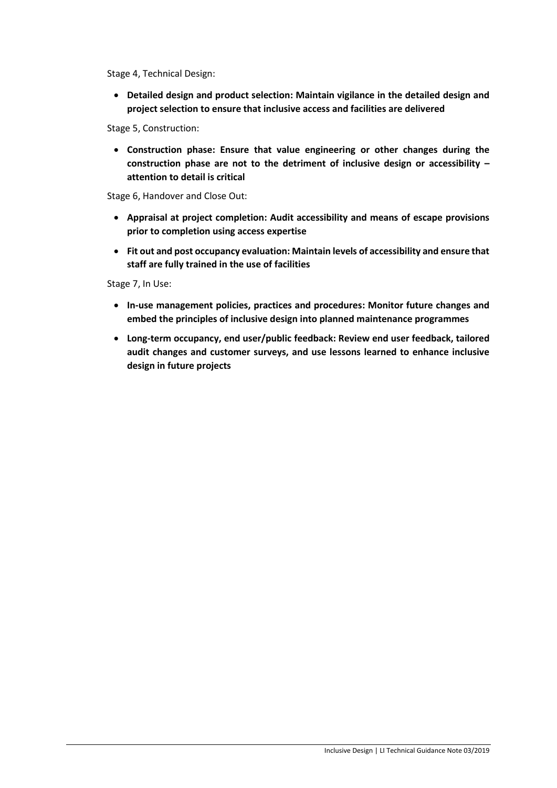Stage 4, Technical Design:

• **Detailed design and product selection: Maintain vigilance in the detailed design and project selection to ensure that inclusive access and facilities are delivered** 

Stage 5, Construction:

• **Construction phase: Ensure that value engineering or other changes during the construction phase are not to the detriment of inclusive design or accessibility – attention to detail is critical** 

Stage 6, Handover and Close Out:

- **Appraisal at project completion: Audit accessibility and means of escape provisions prior to completion using access expertise**
- **Fit out and post occupancy evaluation: Maintain levels of accessibility and ensure that staff are fully trained in the use of facilities**

Stage 7, In Use:

- **In-use management policies, practices and procedures: Monitor future changes and embed the principles of inclusive design into planned maintenance programmes**
- **Long-term occupancy, end user/public feedback: Review end user feedback, tailored audit changes and customer surveys, and use lessons learned to enhance inclusive design in future projects**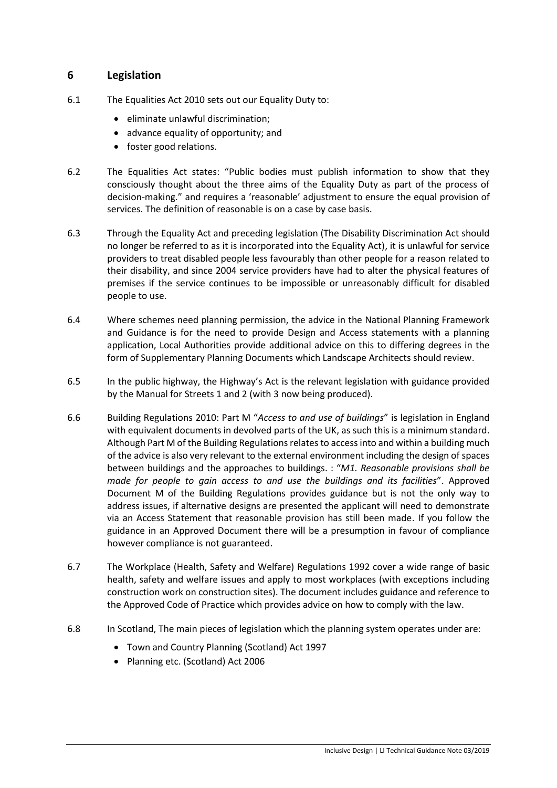# **6 Legislation**

- 6.1 The Equalities Act 2010 sets out our Equality Duty to:
	- eliminate unlawful discrimination;
	- advance equality of opportunity; and
	- foster good relations.
- 6.2 The Equalities Act states: "Public bodies must publish information to show that they consciously thought about the three aims of the Equality Duty as part of the process of decision-making." and requires a 'reasonable' adjustment to ensure the equal provision of services. The definition of reasonable is on a case by case basis.
- 6.3 Through the Equality Act and preceding legislation (The Disability Discrimination Act should no longer be referred to as it is incorporated into the Equality Act), it is unlawful for service providers to treat disabled people less favourably than other people for a reason related to their disability, and since 2004 service providers have had to alter the physical features of premises if the service continues to be impossible or unreasonably difficult for disabled people to use.
- 6.4 Where schemes need planning permission, the advice in the National Planning Framework and Guidance is for the need to provide Design and Access statements with a planning application, Local Authorities provide additional advice on this to differing degrees in the form of Supplementary Planning Documents which Landscape Architects should review.
- 6.5 In the public highway, the Highway's Act is the relevant legislation with guidance provided by the Manual for Streets 1 and 2 (with 3 now being produced).
- 6.6 Building Regulations 2010: Part M "*Access to and use of buildings*" is legislation in England with equivalent documents in devolved parts of the UK, as such this is a minimum standard. Although Part M of the Building Regulations relates to access into and within a building much of the advice is also very relevant to the external environment including the design of spaces between buildings and the approaches to buildings. : "*M1. Reasonable provisions shall be made for people to gain access to and use the buildings and its facilities*". Approved Document M of the Building Regulations provides guidance but is not the only way to address issues, if alternative designs are presented the applicant will need to demonstrate via an Access Statement that reasonable provision has still been made. If you follow the guidance in an Approved Document there will be a presumption in favour of compliance however compliance is not guaranteed.
- 6.7 The Workplace (Health, Safety and Welfare) Regulations 1992 cover a wide range of basic health, safety and welfare issues and apply to most workplaces (with exceptions including construction work on construction sites). The document includes guidance and reference to the Approved Code of Practice which provides advice on how to comply with the law.
- 6.8 In Scotland, The main pieces of legislation which the planning system operates under are:
	- [Town and Country Planning \(Scotland\) Act 1997](http://www.legislation.gov.uk/ukpga/1997/8/contents)
	- [Planning etc. \(Scotland\) Act 2006](http://www.legislation.gov.uk/asp/2006/17/contents)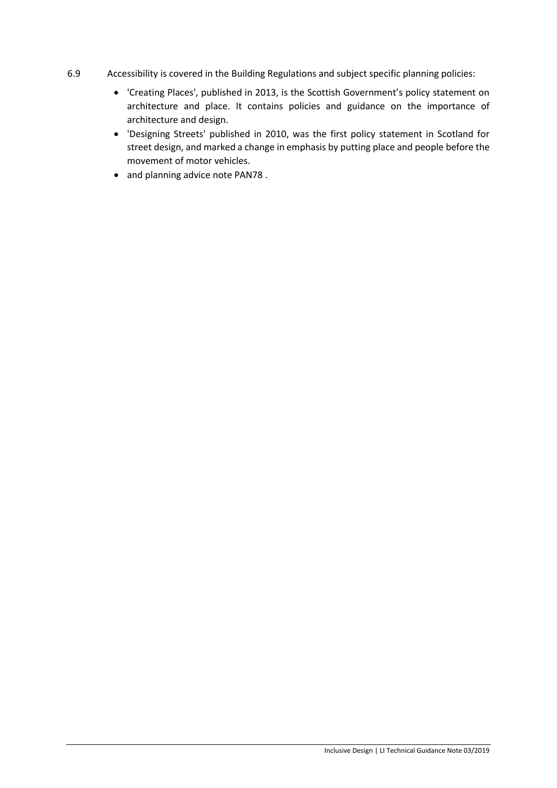- 6.9 Accessibility is covered in the Building Regulations and subject specific planning policies:
	- ['Creating Places](https://beta.gov.scot/publications/creating-places-policy-statement-architecture-place-scotland/)', published in 2013, is the Scottish Government's policy statement on architecture and place. It contains policies and guidance on the importance of architecture and design.
	- ['Designing Streets'](https://beta.gov.scot/publications/designing-streets-policy-statement-scotland/) published in 2010, was the first policy statement in Scotland for street design, and marked a change in emphasis by putting place and people before the movement of motor vehicles.
	- and planning advice note PAN78 [.](https://beta.gov.scot/publications/pan-78-planning-building-standards-advice-note-inclusive-design/)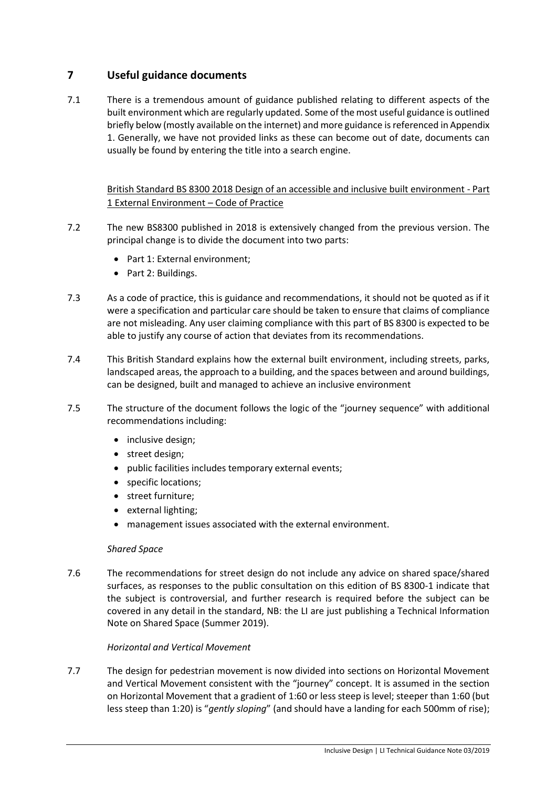# **7 Useful guidance documents**

7.1 There is a tremendous amount of guidance published relating to different aspects of the built environment which are regularly updated. Some of the most useful guidance is outlined briefly below (mostly available on the internet) and more guidance is referenced in Appendix 1. Generally, we have not provided links as these can become out of date, documents can usually be found by entering the title into a search engine.

British Standard BS 8300 2018 Design of an accessible and inclusive built environment - Part 1 External Environment – Code of Practice

- 7.2 The new BS8300 published in 2018 is extensively changed from the previous version. The principal change is to divide the document into two parts:
	- Part 1: External environment;
	- Part 2: Buildings.
- 7.3 As a code of practice, this is guidance and recommendations, it should not be quoted as if it were a specification and particular care should be taken to ensure that claims of compliance are not misleading. Any user claiming compliance with this part of BS 8300 is expected to be able to justify any course of action that deviates from its recommendations.
- 7.4 This British Standard explains how the external built environment, including streets, parks, landscaped areas, the approach to a building, and the spaces between and around buildings, can be designed, built and managed to achieve an inclusive environment
- 7.5 The structure of the document follows the logic of the "journey sequence" with additional recommendations including:
	- inclusive design;
	- street design;
	- public facilities includes temporary external events;
	- specific locations;
	- street furniture;
	- external lighting;
	- management issues associated with the external environment.

## *Shared Space*

7.6 The recommendations for street design do not include any advice on shared space/shared surfaces, as responses to the public consultation on this edition of BS 8300-1 indicate that the subject is controversial, and further research is required before the subject can be covered in any detail in the standard, NB: the LI are just publishing a Technical Information Note on Shared Space (Summer 2019).

## *Horizontal and Vertical Movement*

7.7 The design for pedestrian movement is now divided into sections on Horizontal Movement and Vertical Movement consistent with the "journey" concept. It is assumed in the section on Horizontal Movement that a gradient of 1:60 or less steep is level; steeper than 1:60 (but less steep than 1:20) is "*gently sloping*" (and should have a landing for each 500mm of rise);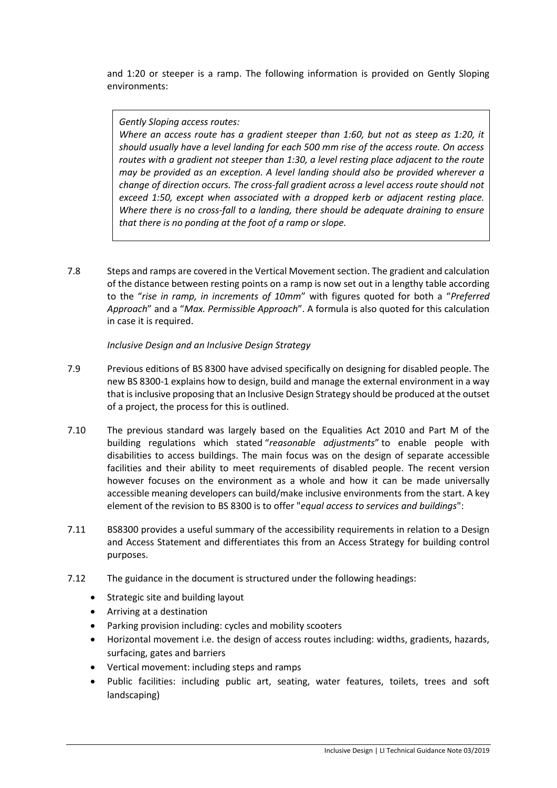and 1:20 or steeper is a ramp. The following information is provided on Gently Sloping environments:

*Gently Sloping access routes:*

*Where an access route has a gradient steeper than 1:60, but not as steep as 1:20, it should usually have a level landing for each 500 mm rise of the access route. On access routes with a gradient not steeper than 1:30, a level resting place adjacent to the route may be provided as an exception. A level landing should also be provided wherever a change of direction occurs. The cross-fall gradient across a level access route should not exceed 1:50, except when associated with a dropped kerb or adjacent resting place. Where there is no cross-fall to a landing, there should be adequate draining to ensure that there is no ponding at the foot of a ramp or slope.*

7.8 Steps and ramps are covered in the Vertical Movement section. The gradient and calculation of the distance between resting points on a ramp is now set out in a lengthy table according to the "*rise in ramp, in increments of 10mm*" with figures quoted for both a "*Preferred Approach*" and a "*Max. Permissible Approach*". A formula is also quoted for this calculation in case it is required.

*Inclusive Design and an Inclusive Design Strategy*

- 7.9 Previous editions of BS 8300 have advised specifically on designing for disabled people. The new BS 8300-1 explains how to design, build and manage the external environment in a way that is inclusive proposing that an Inclusive Design Strategy should be produced at the outset of a project, the process for this is outlined.
- 7.10 The previous standard was largely based on the Equalities Act 2010 and Part M of the building regulations which stated "*reasonable adjustments*" to enable people with disabilities to access buildings. The main focus was on the design of separate accessible facilities and their ability to meet requirements of disabled people. The recent version however focuses on the environment as a whole and how it can be made universally accessible meaning developers can build/make inclusive environments from the start. A key element of the revision to BS 8300 is to offer "*equal access to services and buildings*":
- 7.11 BS8300 provides a useful summary of the accessibility requirements in relation to a Design and Access Statement and differentiates this from an Access Strategy for building control purposes.
- 7.12 The guidance in the document is structured under the following headings:
	- Strategic site and building layout
	- Arriving at a destination
	- Parking provision including: cycles and mobility scooters
	- Horizontal movement i.e. the design of access routes including: widths, gradients, hazards, surfacing, gates and barriers
	- Vertical movement: including steps and ramps
	- Public facilities: including public art, seating, water features, toilets, trees and soft landscaping)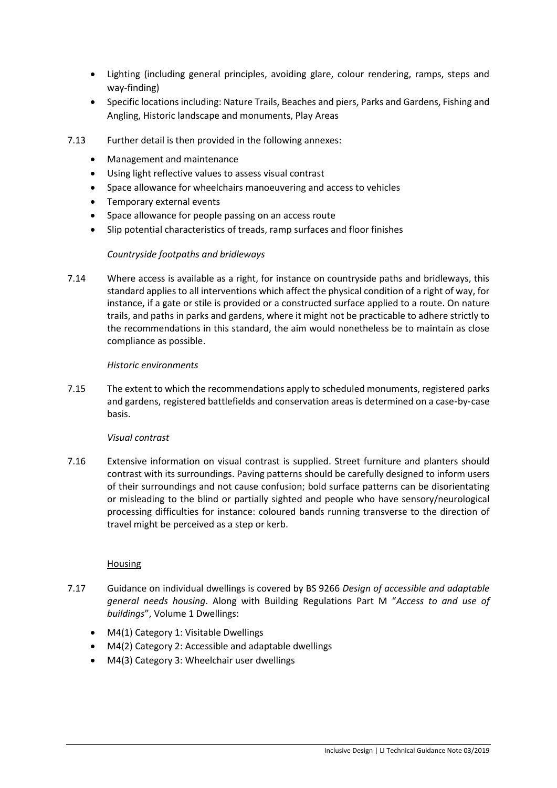- Lighting (including general principles, avoiding glare, colour rendering, ramps, steps and way-finding)
- Specific locations including: Nature Trails, Beaches and piers, Parks and Gardens, Fishing and Angling, Historic landscape and monuments, Play Areas
- 7.13 Further detail is then provided in the following annexes:
	- Management and maintenance
	- Using light reflective values to assess visual contrast
	- Space allowance for wheelchairs manoeuvering and access to vehicles
	- Temporary external events
	- Space allowance for people passing on an access route
	- Slip potential characteristics of treads, ramp surfaces and floor finishes

### *Countryside footpaths and bridleways*

7.14 Where access is available as a right, for instance on countryside paths and bridleways, this standard applies to all interventions which affect the physical condition of a right of way, for instance, if a gate or stile is provided or a constructed surface applied to a route. On nature trails, and paths in parks and gardens, where it might not be practicable to adhere strictly to the recommendations in this standard, the aim would nonetheless be to maintain as close compliance as possible.

### *Historic environments*

7.15 The extent to which the recommendations apply to scheduled monuments, registered parks and gardens, registered battlefields and conservation areas is determined on a case-by-case basis.

### *Visual contrast*

7.16 Extensive information on visual contrast is supplied. Street furniture and planters should contrast with its surroundings. Paving patterns should be carefully designed to inform users of their surroundings and not cause confusion; bold surface patterns can be disorientating or misleading to the blind or partially sighted and people who have sensory/neurological processing difficulties for instance: coloured bands running transverse to the direction of travel might be perceived as a step or kerb.

### Housing

- 7.17 Guidance on individual dwellings is covered by BS 9266 *Design of accessible and adaptable general needs housing*. Along with Building Regulations Part M "*Access to and use of buildings*", Volume 1 Dwellings:
	- M4(1) Category 1: Visitable Dwellings
	- M4(2) Category 2: Accessible and adaptable dwellings
	- M4(3) Category 3: Wheelchair user dwellings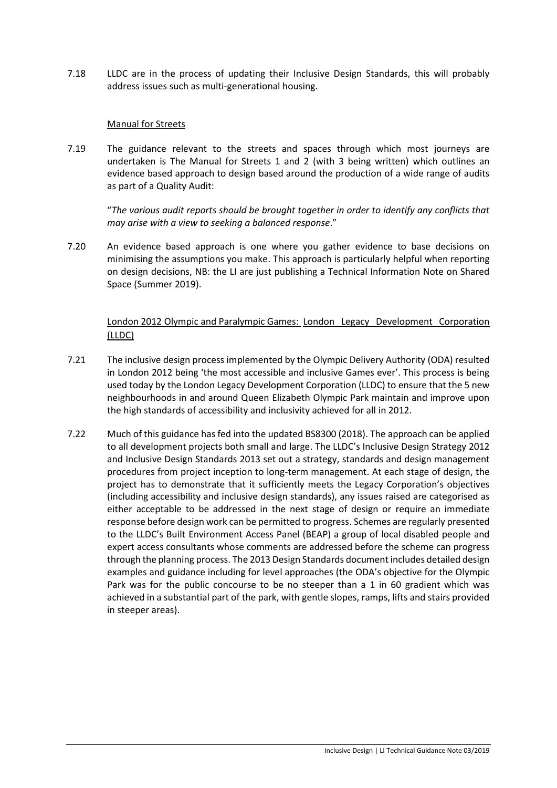7.18 LLDC are in the process of updating their Inclusive Design Standards, this will probably address issues such as multi-generational housing.

## Manual for Streets

7.19 The guidance relevant to the streets and spaces through which most journeys are undertaken is The Manual for Streets 1 and 2 (with 3 being written) which outlines an evidence based approach to design based around the production of a wide range of audits as part of a Quality Audit:

"*The various audit reports should be brought together in order to identify any conflicts that may arise with a view to seeking a balanced response*."

7.20 An evidence based approach is one where you gather evidence to base decisions on minimising the assumptions you make. This approach is particularly helpful when reporting on design decisions, NB: the LI are just publishing a Technical Information Note on Shared Space (Summer 2019).

## London 2012 Olympic and Paralympic Games: London Legacy Development Corporation (LLDC)

- 7.21 The inclusive design process implemented by the Olympic Delivery Authority (ODA) resulted in London 2012 being 'the most accessible and inclusive Games ever'. This process is being used today by the London Legacy Development Corporation (LLDC) to ensure that the 5 new neighbourhoods in and around Queen Elizabeth Olympic Park maintain and improve upon the high standards of accessibility and inclusivity achieved for all in 2012.
- 7.22 Much of this guidance has fed into the updated BS8300 (2018). The approach can be applied to all development projects both small and large. The LLDC's Inclusive Design Strategy 2012 and Inclusive Design Standards 2013 set out a strategy, standards and design management procedures from project inception to long-term management. At each stage of design, the project has to demonstrate that it sufficiently meets the Legacy Corporation's objectives (including accessibility and inclusive design standards), any issues raised are categorised as either acceptable to be addressed in the next stage of design or require an immediate response before design work can be permitted to progress. Schemes are regularly presented to the LLDC's Built Environment Access Panel (BEAP) a group of local disabled people and expert access consultants whose comments are addressed before the scheme can progress through the planning process. The 2013 Design Standards document includes detailed design examples and guidance including for level approaches (the ODA's objective for the Olympic Park was for the public concourse to be no steeper than a 1 in 60 gradient which was achieved in a substantial part of the park, with gentle slopes, ramps, lifts and stairs provided in steeper areas).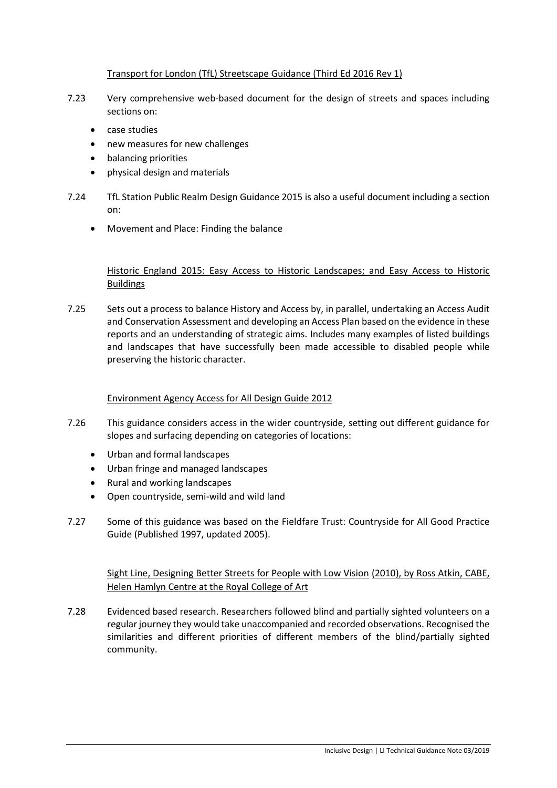## Transport for London (TfL) Streetscape Guidance (Third Ed 2016 Rev 1)

- 7.23 Very comprehensive web-based document for the design of streets and spaces including sections on:
	- case studies
	- new measures for new challenges
	- balancing priorities
	- physical design and materials
- 7.24 TfL Station Public Realm Design Guidance 2015 is also a useful document including a section on:
	- Movement and Place: Finding the balance

## Historic England 2015: Easy Access to Historic Landscapes; and Easy Access to Historic **Buildings**

7.25 Sets out a process to balance History and Access by, in parallel, undertaking an Access Audit and Conservation Assessment and developing an Access Plan based on the evidence in these reports and an understanding of strategic aims. Includes many examples of listed buildings and landscapes that have successfully been made accessible to disabled people while preserving the historic character.

### Environment Agency Access for All Design Guide 2012

- 7.26 This guidance considers access in the wider countryside, setting out different guidance for slopes and surfacing depending on categories of locations:
	- Urban and formal landscapes
	- Urban fringe and managed landscapes
	- Rural and working landscapes
	- Open countryside, semi-wild and wild land
- 7.27 Some of this guidance was based on the Fieldfare Trust: Countryside for All Good Practice Guide (Published 1997, updated 2005).

Sight Line, Designing Better Streets for People with Low Vision (2010), by Ross Atkin, CABE, Helen Hamlyn Centre at the Royal College of Art

7.28 Evidenced based research. Researchers followed blind and partially sighted volunteers on a regular journey they would take unaccompanied and recorded observations. Recognised the similarities and different priorities of different members of the blind/partially sighted community.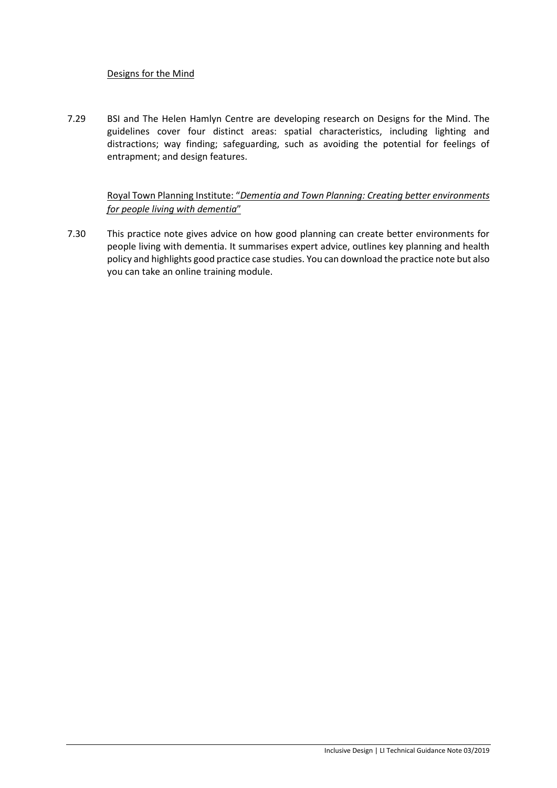## Designs for the Mind

7.29 BSI and The Helen Hamlyn Centre are developing research on Designs for the Mind. The guidelines cover four distinct areas: spatial characteristics, including lighting and distractions; way finding; safeguarding, such as avoiding the potential for feelings of entrapment; and design features.

## Royal Town Planning Institute: "*Dementia and Town Planning: Creating better environments for people living with dementia*"

7.30 This practice note gives advice on how good planning can create better environments for people living with dementia. It summarises expert advice, outlines key planning and health policy and highlights good practice case studies. You can download the practice note but also you can take an online training module.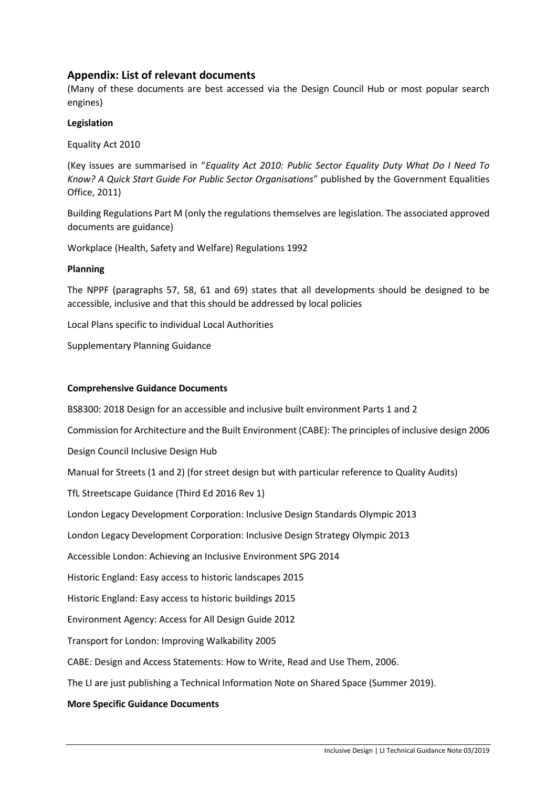## **Appendix: List of relevant documents**

(Many of these documents are best accessed via the Design Council Hub or most popular search engines)

### **Legislation**

Equality Act 2010

(Key issues are summarised in "*Equality Act 2010: Public Sector Equality Duty What Do I Need To Know? A Quick Start Guide For Public Sector Organisations*" published by the Government Equalities Office, 2011)

Building Regulations Part M (only the regulations themselves are legislation. The associated approved documents are guidance)

Workplace (Health, Safety and Welfare) Regulations 1992

### **Planning**

The NPPF (paragraphs 57, 58, 61 and 69) states that all developments should be designed to be accessible, inclusive and that this should be addressed by local policies

Local Plans specific to individual Local Authorities

Supplementary Planning Guidance

### **Comprehensive Guidance Documents**

BS8300: 2018 Design for an accessible and inclusive built environment Parts 1 and 2

Commission for Architecture and the Built Environment (CABE): The principles of inclusive design 2006

Design Council Inclusive Design Hub

Manual for Streets (1 and 2) (for street design but with particular reference to Quality Audits)

TfL Streetscape Guidance (Third Ed 2016 Rev 1)

London Legacy Development Corporation: Inclusive Design Standards Olympic 2013

London Legacy Development Corporation: Inclusive Design Strategy Olympic 2013

Accessible London: Achieving an Inclusive Environment SPG 2014

Historic England: Easy access to historic landscapes 2015

Historic England: Easy access to historic buildings 2015

Environment Agency: Access for All Design Guide 2012

Transport for London: Improving Walkability 2005

CABE: Design and Access Statements: How to Write, Read and Use Them, 2006.

The LI are just publishing a Technical Information Note on Shared Space (Summer 2019).

### **More Specific Guidance Documents**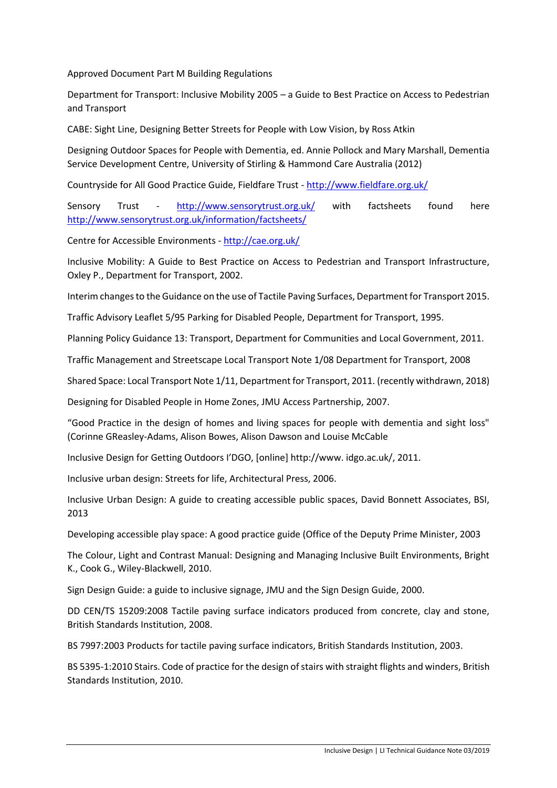Approved Document Part M Building Regulations

Department for Transport: Inclusive Mobility 2005 – a Guide to Best Practice on Access to Pedestrian and Transport

CABE: Sight Line, Designing Better Streets for People with Low Vision, by Ross Atkin

Designing Outdoor Spaces for People with Dementia, ed. Annie Pollock and Mary Marshall, Dementia Service Development Centre, University of Stirling & Hammond Care Australia (2012)

Countryside for All Good Practice Guide, Fieldfare Trust - <http://www.fieldfare.org.uk/>

Sensory Trust - <http://www.sensorytrust.org.uk/> with factsheets found here <http://www.sensorytrust.org.uk/information/factsheets/>

Centre for Accessible Environments - <http://cae.org.uk/>

Inclusive Mobility: A Guide to Best Practice on Access to Pedestrian and Transport Infrastructure, Oxley P., Department for Transport, 2002.

Interim changes to the Guidance on the use of Tactile Paving Surfaces, Department for Transport 2015.

Traffic Advisory Leaflet 5/95 Parking for Disabled People, Department for Transport, 1995.

Planning Policy Guidance 13: Transport, Department for Communities and Local Government, 2011.

Traffic Management and Streetscape Local Transport Note 1/08 Department for Transport, 2008

Shared Space: Local Transport Note 1/11, Department for Transport, 2011. (recently withdrawn, 2018)

Designing for Disabled People in Home Zones, JMU Access Partnership, 2007.

"Good Practice in the design of homes and living spaces for people with dementia and sight loss" (Corinne GReasley-Adams, Alison Bowes, Alison Dawson and Louise McCable

Inclusive Design for Getting Outdoors I'DGO, [online] http://www. idgo.ac.uk/, 2011.

Inclusive urban design: Streets for life, Architectural Press, 2006.

Inclusive Urban Design: A guide to creating accessible public spaces, David Bonnett Associates, BSI, 2013

Developing accessible play space: A good practice guide (Office of the Deputy Prime Minister, 2003

The Colour, Light and Contrast Manual: Designing and Managing Inclusive Built Environments, Bright K., Cook G., Wiley-Blackwell, 2010.

Sign Design Guide: a guide to inclusive signage, JMU and the Sign Design Guide, 2000.

DD CEN/TS 15209:2008 Tactile paving surface indicators produced from concrete, clay and stone, British Standards Institution, 2008.

BS 7997:2003 Products for tactile paving surface indicators, British Standards Institution, 2003.

BS 5395-1:2010 Stairs. Code of practice for the design of stairs with straight flights and winders, British Standards Institution, 2010.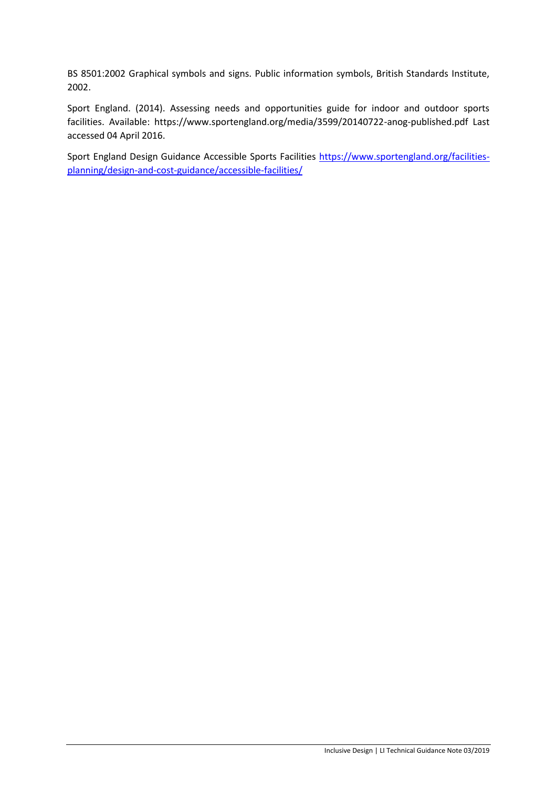BS 8501:2002 Graphical symbols and signs. Public information symbols, British Standards Institute, 2002.

Sport England. (2014). Assessing needs and opportunities guide for indoor and outdoor sports facilities. Available: https://www.sportengland.org/media/3599/20140722-anog-published.pdf Last accessed 04 April 2016.

Sport England Design Guidance Accessible Sports Facilities [https://www.sportengland.org/facilities](https://www.sportengland.org/facilities-planning/design-and-cost-guidance/accessible-facilities/)[planning/design-and-cost-guidance/accessible-facilities/](https://www.sportengland.org/facilities-planning/design-and-cost-guidance/accessible-facilities/)